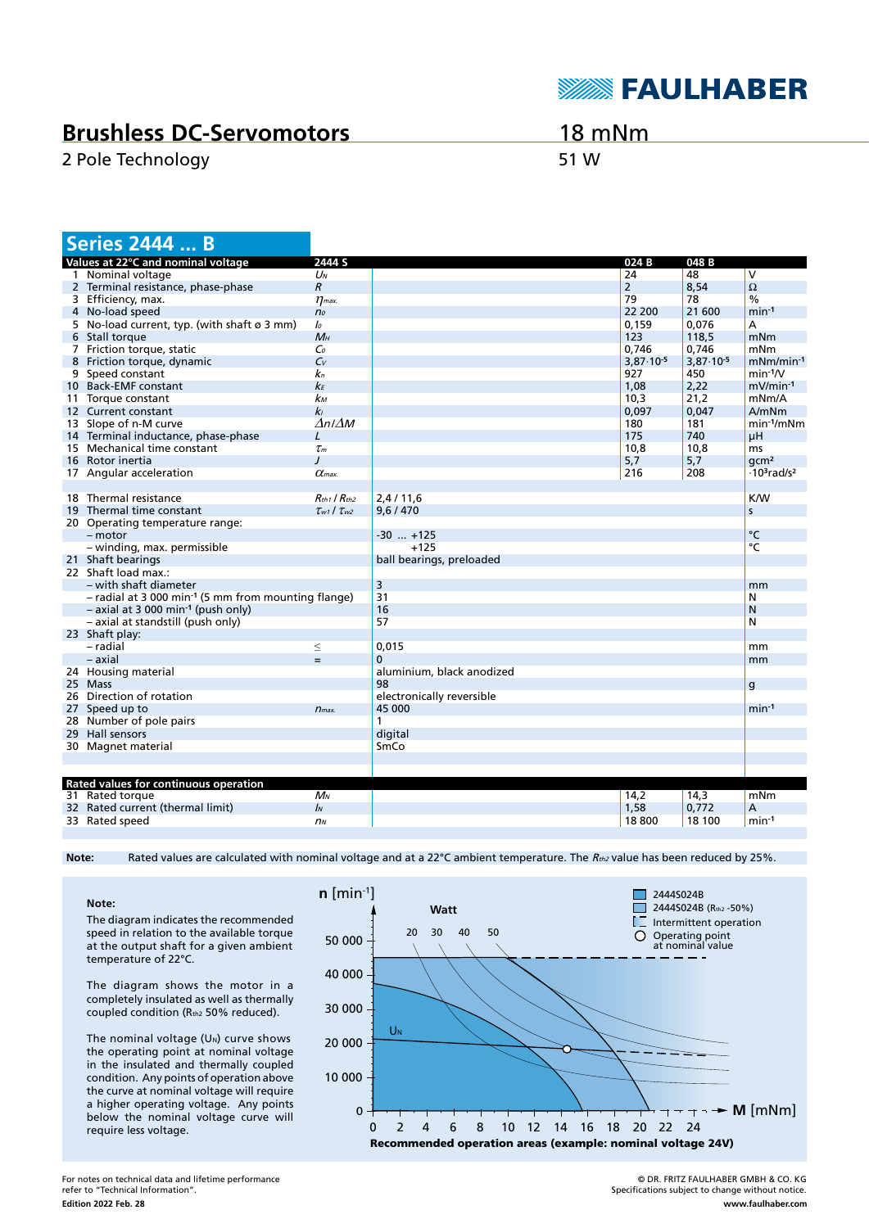

## **Brushless DC-Servomotors**

2 Pole Technology 51 W

18 mNm

|                                              | <b>Series 2444  B</b>                                             |                           |                           |                      |                      |                                            |
|----------------------------------------------|-------------------------------------------------------------------|---------------------------|---------------------------|----------------------|----------------------|--------------------------------------------|
| 2444 S<br>Values at 22°C and nominal voltage |                                                                   |                           |                           | 024 B                | 048B                 |                                            |
|                                              | 1 Nominal voltage                                                 | UN                        |                           | 24                   | 48                   | V                                          |
|                                              | 2 Terminal resistance, phase-phase                                | $\boldsymbol{R}$          |                           | $\overline{2}$       | 8,54                 | $\Omega$                                   |
|                                              | 3 Efficiency, max.                                                | $\eta$ <sub>max</sub> .   |                           | 79                   | 78                   | $\frac{0}{0}$                              |
|                                              | 4 No-load speed                                                   | n <sub>o</sub>            |                           | 22 200               | 21 600               | $min-1$                                    |
|                                              | 5 No-load current, typ. (with shaft $\varnothing$ 3 mm)           | lo                        |                           | 0,159                | 0,076                | A                                          |
|                                              | 6 Stall torque                                                    | $M_H$                     |                           | 123                  | 118,5                | mNm                                        |
|                                              | 7 Friction torque, static                                         | Co                        |                           | 0.746                | 0,746                | mNm                                        |
|                                              | 8 Friction torque, dynamic                                        | $C_{V}$                   |                           | $3.87 \cdot 10^{-5}$ | $3.87 \cdot 10^{-5}$ | $mNm/min-1$                                |
|                                              | 9 Speed constant                                                  | kп                        |                           | 927                  | 450                  | $min-1/V$                                  |
|                                              | 10 Back-EMF constant                                              | kЕ                        |                           | 1,08                 | 2,22                 | $mV/min-1$                                 |
|                                              | 11 Torque constant                                                | kм                        |                           | 10.3                 | 21,2                 | mNm/A                                      |
|                                              | 12 Current constant                                               | k <sub>l</sub>            |                           | 0,097                | 0,047                | A/mNm                                      |
|                                              | 13 Slope of n-M curve                                             | $\Delta n$ I $\Delta M$   |                           | 180                  | 181                  | $min-1/mNm$                                |
|                                              | 14 Terminal inductance, phase-phase                               | L                         |                           | 175                  | 740                  | μH                                         |
|                                              | 15 Mechanical time constant                                       | $\tau_m$                  |                           | 10,8                 | 10,8                 | ms                                         |
|                                              | 16 Rotor inertia                                                  | $\prime$                  |                           | 5,7                  | 5,7                  | qcm <sup>2</sup>                           |
|                                              | 17 Angular acceleration                                           | $\alpha$ <sub>max</sub>   |                           | 216                  | 208                  | $\cdot$ 10 <sup>3</sup> rad/s <sup>2</sup> |
|                                              |                                                                   |                           |                           |                      |                      |                                            |
|                                              | 18 Thermal resistance                                             | $R_{th1}$ / $R_{th2}$     | 2,4/11,6                  |                      |                      | <b>K/W</b>                                 |
|                                              | 19 Thermal time constant                                          | $\tau_{w1}$ / $\tau_{w2}$ | 9,6/470                   |                      |                      | S                                          |
|                                              | 20 Operating temperature range:                                   |                           |                           |                      |                      |                                            |
|                                              | $-$ motor                                                         |                           | $-30$ $+125$              |                      |                      | °C                                         |
|                                              | - winding, max. permissible                                       |                           | $+125$                    |                      |                      | °C                                         |
|                                              | 21 Shaft bearings                                                 |                           | ball bearings, preloaded  |                      |                      |                                            |
|                                              | 22 Shaft load max.:                                               |                           |                           |                      |                      |                                            |
|                                              | – with shaft diameter                                             |                           | 3                         |                      |                      | mm                                         |
|                                              | $-$ radial at 3 000 min <sup>-1</sup> (5 mm from mounting flange) |                           | 31                        |                      |                      | N                                          |
|                                              | $-$ axial at 3 000 min <sup>-1</sup> (push only)                  |                           | 16                        |                      |                      | N                                          |
|                                              | - axial at standstill (push only)                                 |                           | 57                        |                      |                      | N                                          |
|                                              | 23 Shaft play:                                                    |                           |                           |                      |                      |                                            |
|                                              | - radial                                                          | $\leq$                    | 0,015                     |                      |                      | mm                                         |
|                                              | $-$ axial                                                         | $=$                       | 0                         |                      |                      |                                            |
|                                              |                                                                   |                           | aluminium, black anodized |                      |                      | mm                                         |
|                                              | 24 Housing material<br>25 Mass                                    |                           | 98                        |                      |                      |                                            |
|                                              | 26 Direction of rotation                                          |                           |                           |                      |                      | $\mathsf{g}$                               |
|                                              |                                                                   |                           | electronically reversible |                      |                      | $min-1$                                    |
|                                              | 27 Speed up to                                                    | $n_{max.}$                | 45 000<br>1               |                      |                      |                                            |
|                                              | 28 Number of pole pairs                                           |                           |                           |                      |                      |                                            |
|                                              | 29 Hall sensors                                                   |                           | digital                   |                      |                      |                                            |
|                                              | 30 Magnet material                                                |                           | SmCo                      |                      |                      |                                            |
|                                              |                                                                   |                           |                           |                      |                      |                                            |
|                                              | Rated values for continuous operation                             |                           |                           |                      |                      |                                            |
|                                              | 31 Rated torque                                                   | $M_N$                     |                           | 14,2                 | 14,3                 | mNm                                        |
|                                              | 32 Rated current (thermal limit)                                  | $\mathbf{I}$              |                           | 1,58                 | 0,772                | A                                          |
|                                              | 33 Rated speed                                                    | n <sub>N</sub>            |                           | 18800                | 18 100               | $min-1$                                    |
|                                              |                                                                   |                           |                           |                      |                      |                                            |

Note: Rated values are calculated with nominal voltage and at a 22°C ambient temperature. The R<sub>th2</sub> value has been reduced by 25%.

**Note:** The diagram indicates the recommended speed in relation to the available torque at the output shaft for a given ambient temperature of 22°C.

The diagram shows the motor in a completely insulated as well as thermally coupled condition (Rth2 50% reduced).

The nominal voltage  $(U<sub>N</sub>)$  curve shows the operating point at nominal voltage in the insulated and thermally coupled condition. Any points of operation above the curve at nominal voltage will require a higher operating voltage. Any points below the nominal voltage curve will require less voltage.



**Edition 2022 Feb. 28** For notes on technical data and lifetime performance refer to "Technical Information".

© DR. FRITZ FAULHABER GMBH & CO. KG Specifications subject to change without notice. **www.faulhaber.com**